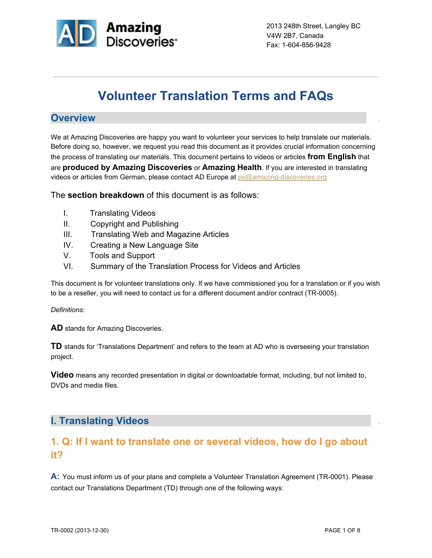

# **Volunteer Translation Terms and FAQs**

#### **Overview .**

We at Amazing Discoveries are happy you want to volunteer your services to help translate our materials. Before doing so, however, we request you read this document as it provides crucial information concerning the process of translating our materials. This document pertains to videos or articles **from English** that are **produced by Amazing Discoveries** or **Amazing Health**. If you are interested in translating videos or articles from German, please contact AD Europe at ps@amazing-discoveries.org

The **section breakdown** of this document is as follows:

- I. Translating Videos
- II. Copyright and Publishing
- III. Translating Web and Magazine Articles
- IV. Creating a New Language Site
- V. Tools and Support
- VI. Summary of the Translation Process for Videos and Articles

This document is for volunteer translations only. If we have commissioned you for a translation or if you wish to be a reseller, you will need to contact us for a different document and/or contract (TR-0005).

#### *Definitions:*

**AD** stands for Amazing Discoveries.

**TD** stands for 'Translations Department' and refers to the team at AD who is overseeing your translation project.

**Video** means any recorded presentation in digital or downloadable format, including, but not limited to, DVDs and media files.

#### **I. Translating Videos .**

### **1. Q: If I want to translate one or several videos, how do I go about it?**

**A:** You must inform us of your plans and complete a Volunteer Translation Agreement (TR-0001). Please contact our Translations Department (TD) through one of the following ways: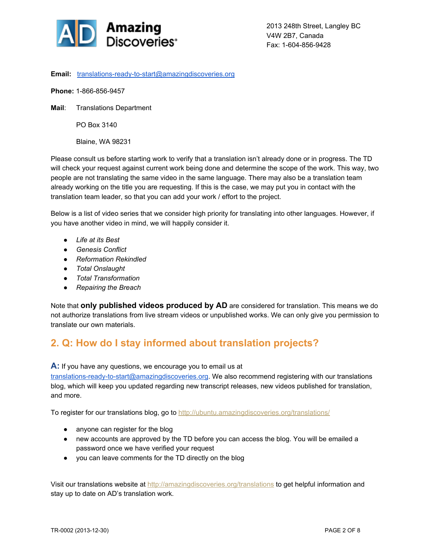

**Email:** translations-ready-to-start@amazingdiscoveries.org

**Phone: 1-866-856-9457** 

**Mail**: Translations Department

PO Box 3140

Blaine, WA 98231

Please consult us before starting work to verify that a translation isn't already done or in progress. The TD will check your request against current work being done and determine the scope of the work. This way, two people are not translating the same video in the same language. There may also be a translation team already working on the title you are requesting. If this is the case, we may put you in contact with the translation team leader, so that you can add your work / effort to the project.

Below is a list of video series that we consider high priority for translating into other languages. However, if you have another video in mind, we will happily consider it.

- *Life at its Best*
- *Genesis Conflict*
- *Reformation Rekindled*
- *Total Onslaught*
- *Total Transformation*
- *● Repairing the Breach*

Note that **only published videos produced by AD** are considered for translation. This means we do not authorize translations from live stream videos or unpublished works. We can only give you permission to translate our own materials.

#### **2. Q: How do I stay informed about translation projects?**

**A:** If you have any questions, we encourage you to email us at

translations-ready-to-start@amazingdiscoveries.org. We also recommend registering with our translations blog, which will keep you updated regarding new transcript releases, new videos published for translation, and more.

To register for our translations blog, go to [http://ubuntu.amazingdiscoveries.org/translations/](http://www.google.com/url?q=http%3A%2F%2Fubuntu.amazingdiscoveries.org%2Ftranslations%2Fwp-login.php%3Fredirect_to%3D%2Ftranslations%2F&sa=D&sntz=1&usg=AFQjCNF1z3jQahi5wnhZZr4RW44zKKlwFQ)

- anyone can register for the blog
- new accounts are approved by the TD before you can access the blog. You will be emailed a password once we have verified your request
- you can leave comments for the TD directly on the blog

Visit our translations website at http://amazingdiscoveries.org/translations to get helpful information and stay up to date on AD's translation work.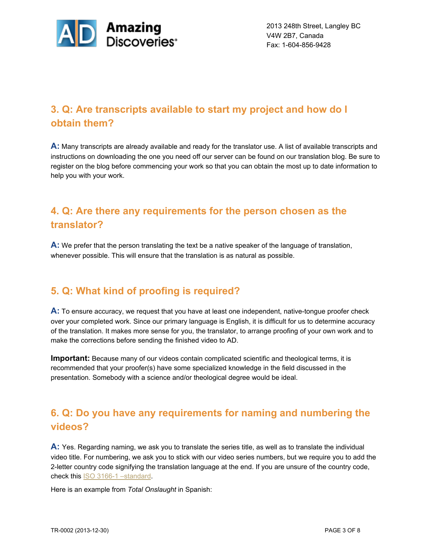

## **3. Q: Are transcripts available to start my project and how do I obtain them?**

**A:** Many transcripts are already available and ready for the translator use. A list of available transcripts and instructions on downloading the one you need off our server can be found on our translation blog. Be sure to register on the blog before commencing your work so that you can obtain the most up to date information to help you with your work.

## **4. Q: Are there any requirements for the person chosen as the translator?**

**A:** We prefer that the person translating the text be a native speaker of the language of translation, whenever possible. This will ensure that the translation is as natural as possible.

#### **5. Q: What kind of proofing is required?**

A: To ensure accuracy, we request that you have at least one independent, native-tongue proofer check over your completed work. Since our primary language is English, it is difficult for us to determine accuracy of the translation. It makes more sense for you, the translator, to arrange proofing of your own work and to make the corrections before sending the finished video to AD.

**Important:** Because many of our videos contain complicated scientific and theological terms, it is recommended that your proofer(s) have some specialized knowledge in the field discussed in the presentation. Somebody with a science and/or theological degree would be ideal.

## **6. Q: Do you have any requirements for naming and numbering the videos?**

**A:** Yes. Regarding naming, we ask you to translate the series title, as well as to translate the individual video title. For numbering, we ask you to stick with our video series numbers, but we require you to add the 2letter country code signifying the translation language at the end. If you are unsure of the country code, check this **ISO 3166-1** [–standard.](http://www.google.com/url?q=http%3A%2F%2Fwww.iso.org%2Fiso%2Fhome%2Fstandards%2Fcountry_codes%2Fiso-3166-1_decoding_table.htm&sa=D&sntz=1&usg=AFQjCNFAhdrykTR-4HYhpp5xOJLcK8dg-Q)

Here is an example from *Total Onslaught* in Spanish: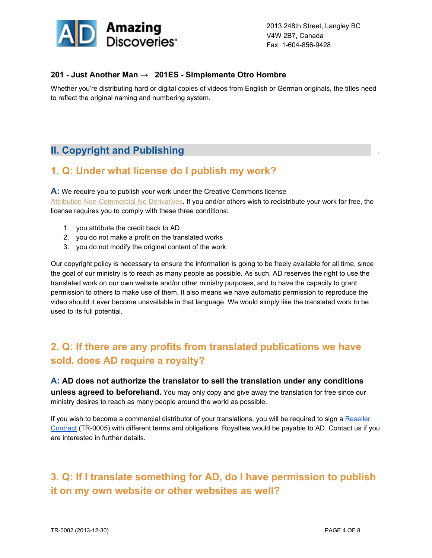

#### **201 Just Another Man → 201ES Simplemente Otro Hombre**

Whether you're distributing hard or digital copies of videos from English or German originals, the titles need to reflect the original naming and numbering system.

### **II. Copyright and Publishing .**

#### **1. Q: Under what license do I publish my work?**

**A:** We require you to publish your work under the Creative Commons license Attribution-Non-Commercial-No Derivatives. If you and/or others wish to redistribute your work for free, the license requires you to comply with these three conditions:

- 1. you attribute the credit back to AD
- 2. you do not make a profit on the translated works
- 3. you do not modify the original content of the work

Our copyright policy is necessary to ensure the information is going to be freely available for all time, since the goal of our ministry is to reach as many people as possible. As such, AD reserves the right to use the translated work on our own website and/or other ministry purposes, and to have the capacity to grant permission to others to make use of them. It also means we have automatic permission to reproduce the video should it ever become unavailable in that language. We would simply like the translated work to be used to its full potential.

## **2. Q: If there are any profits from translated publications we have sold, does AD require a royalty?**

#### **A: AD does not authorize the translator to sell the translation under any conditions unless agreed to beforehand.** You may only copy and give away the translation for free since our ministry desires to reach as many people around the world as possible.

If you wish to become a commercial distributor of your translations, you will be required to sign a [Reseller](https://docs.google.com/a/amazingdiscoveries.org/file/d/0B6AJmRdzbAU5ZUxZT1VJQkZOd0U/edit) [Contract](https://docs.google.com/a/amazingdiscoveries.org/file/d/0B6AJmRdzbAU5ZUxZT1VJQkZOd0U/edit) (TR-0005) with different terms and obligations. Royalties would be payable to AD. Contact us if you are interested in further details.

## **3. Q: If I translate something for AD, do I have permission to publish it on my own website or other websites as well?**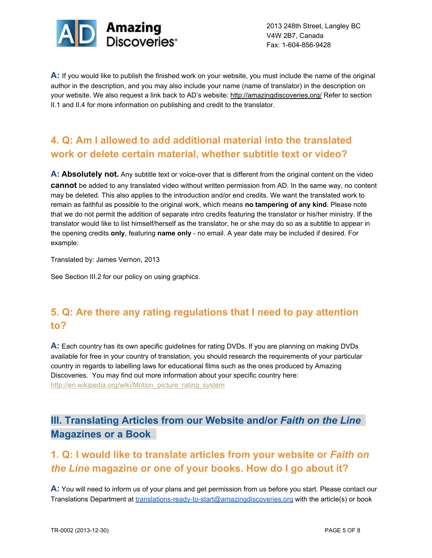

**A:** If you would like to publish the finished work on your website, you must include the name of the original author in the description, and you may also include your name (name of translator) in the description on your website. We also request a link back to AD's website: [http://amazingdiscoveries.org/](http://www.google.com/url?q=http%3A%2F%2Famazingdiscoveries.org%2F&sa=D&sntz=1&usg=AFQjCNHLsqfViCqmzQZLUI8vg8OnplYUFg) Refer to section II.1 and II.4 for more information on publishing and credit to the translator.

## **4. Q: Am I allowed to add additional material into the translated work or delete certain material, whether subtitle text or video?**

**A: Absolutely not.** Any subtitle text or voice-over that is different from the original content on the video **cannot** be added to any translated video without written permission from AD. In the same way, no content may be deleted. This also applies to the introduction and/or end credits. We want the translated work to remain as faithful as possible to the original work, which means **no tampering of any kind**. Please note that we do not permit the addition of separate intro credits featuring the translator or his/her ministry. If the translator would like to list himself/herself as the translator, he or she may do so as a subtitle to appear in the opening credits **only**, featuring **name only** no email. A year date may be included if desired. For example:

Translated by: James Vernon, 2013

See Section III.2 for our policy on using graphics.

## **5. Q: Are there any rating regulations that I need to pay attention to?**

**A:** Each country has its own specific guidelines for rating DVDs. If you are planning on making DVDs available for free in your country of translation, you should research the requirements of your particular country in regards to labelling laws for educational films such as the ones produced by Amazing Discoveries. You may find out more information about your specific country here: [http://en.wikipedia.org/wiki/Motion\\_picture\\_rating\\_system](http://www.google.com/url?q=http%3A%2F%2Fen.wikipedia.org%2Fwiki%2FMotion_picture_rating_system&sa=D&sntz=1&usg=AFQjCNHd2sL0BtBHn9kc7FO7xl0jR4czJg)

### **III. Translating Articles from our Website and/or** *Faith on the Line* **Magazines or a Book.**

## **1. Q: I would like to translate articles from your website or** *Faith on the Line* **magazine or one of your books. How do I go about it?**

**A:** You will need to inform us of your plans and get permission from us before you start. Please contact our Translations Department at translations-ready-to-start@amazingdiscoveries.org with the article(s) or book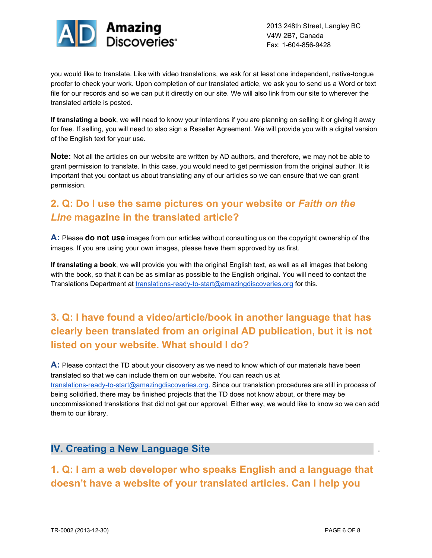

you would like to translate. Like with video translations, we ask for at least one independent, native-tongue proofer to check your work. Upon completion of our translated article, we ask you to send us a Word or text file for our records and so we can put it directly on our site. We will also link from our site to wherever the translated article is posted.

**If translating a book**, we will need to know your intentions if you are planning on selling it or giving it away for free. If selling, you will need to also sign a Reseller Agreement. We will provide you with a digital version of the English text for your use.

**Note:** Not all the articles on our website are written by AD authors, and therefore, we may not be able to grant permission to translate. In this case, you would need to get permission from the original author. It is important that you contact us about translating any of our articles so we can ensure that we can grant permission.

## **2. Q: Do I use the same pictures on your website or** *Faith on the Line* **magazine in the translated article?**

**A:** Please **do not use** images from our articles without consulting us on the copyright ownership of the images. If you are using your own images, please have them approved by us first.

**If translating a book**, we will provide you with the original English text, as well as all images that belong with the book, so that it can be as similar as possible to the English original. You will need to contact the Translations Department at translations-ready-to-start@amazingdiscoveries.org for this.

## **3. Q: I have found a video/article/book in another language that has clearly been translated from an original AD publication, but it is not listed on your website. What should I do?**

**A:** Please contact the TD about your discovery as we need to know which of our materials have been translated so that we can include them on our website. You can reach us at translations-ready-to-start@amazingdiscoveries.org. Since our translation procedures are still in process of being solidified, there may be finished projects that the TD does not know about, or there may be uncommissioned translations that did not get our approval. Either way, we would like to know so we can add them to our library.

#### **IV. Creating a New Language Site .**

**1. Q: I am a web developer who speaks English and a language that doesn't have a website of your translated articles. Can I help you**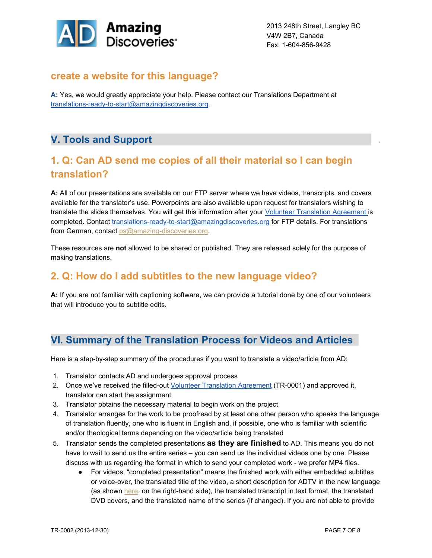

#### **create a website for this language?**

**A:** Yes, we would greatly appreciate your help. Please contact our Translations Department at translations-ready-to-start@amazingdiscoveries.org.

## **V. Tools and Support .**

## **1. Q: Can AD send me copies of all their material so I can begin translation?**

**A:** All of our presentations are available on our FTP server where we have videos, transcripts, and covers available for the translator's use. Powerpoints are also available upon request for translators wishing to translate the slides themselves. You will get this information after your Volunteer [Translation](https://docs.google.com/a/amazingdiscoveries.org/document/d/1qFzIuZbkrPAvjolWZWlJHUGgndBKmrD8cEMEnzUYF34/edit) Agreement is completed. Contact translations-ready-to-start@amazingdiscoveries.org for FTP details. For translations from German, contact ps@amazing-discoveries.org.

These resources are **not** allowed to be shared or published. They are released solely for the purpose of making translations.

#### **2. Q: How do I add subtitles to the new language video?**

**A:** If you are not familiar with captioning software, we can provide a tutorial done by one of our volunteers that will introduce you to subtitle edits.

#### **VI. Summary of the Translation Process for Videos and Articles**

Here is a step-by-step summary of the procedures if you want to translate a video/article from AD:

- 1. Translator contacts AD and undergoes approval process
- 2. Once we've received the filled-out Volunteer [Translation](https://docs.google.com/a/amazingdiscoveries.org/document/d/1qFzIuZbkrPAvjolWZWlJHUGgndBKmrD8cEMEnzUYF34/edit) Agreement (TR-0001) and approved it, translator can start the assignment
- 3. Translator obtains the necessary material to begin work on the project
- 4. Translator arranges for the work to be proofread by at least one other person who speaks the language of translation fluently, one who is fluent in English and, if possible, one who is familiar with scientific and/or theological terms depending on the video/article being translated
- 5. Translator sends the completed presentations **as they are finished** to AD. This means you do not have to wait to send us the entire series – you can send us the individual videos one by one. Please discuss with us regarding the format in which to send your completed work - we prefer MP4 files.
	- For videos, "completed presentation" means the finished work with either embedded subtitles or voice-over, the translated title of the video, a short description for ADTV in the new language (as shown [here,](http://www.google.com/url?q=http%3A%2F%2Famazingdiscoveries.tv%2Fmedia%2F113%2F201-just-another-man%2F&sa=D&sntz=1&usg=AFQjCNGyBZIaauTOeIAT-keiMhL8JfSotg) on the right-hand side), the translated transcript in text format, the translated DVD covers, and the translated name of the series (if changed). If you are not able to provide